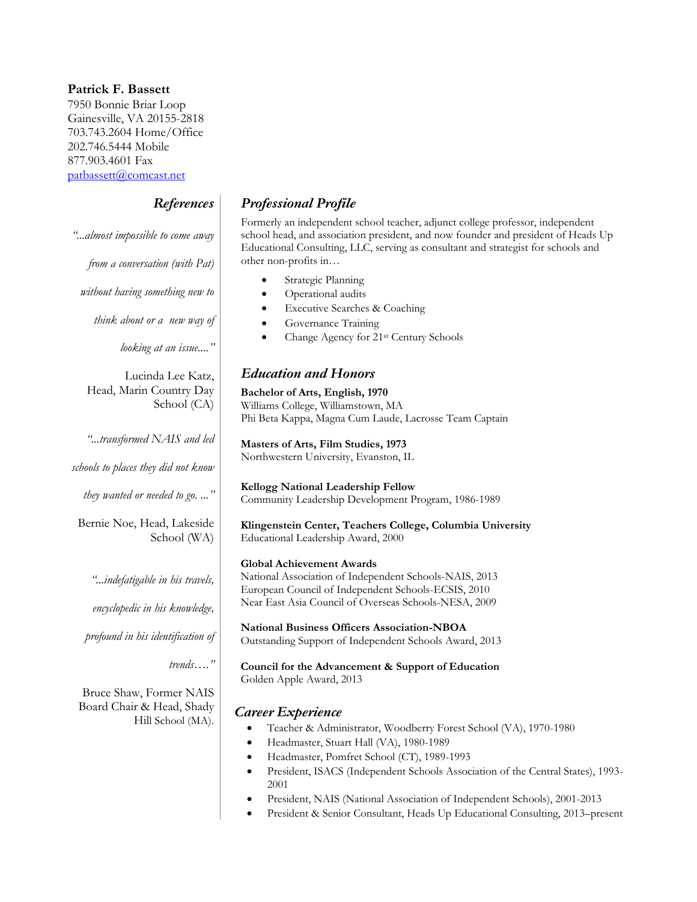#### **Patrick F. Bassett**

7950 Bonnie Briar Loop Gainesville, VA 20155-2818 703.743.2604 Home/Office 202.746.5444 Mobile 877.903.4601 Fax [patbassett@comcast.net](mailto:patbassett@comcast.net)

# *References*

| " almost impossible to come away                                 | scl<br>Ec                            |
|------------------------------------------------------------------|--------------------------------------|
| from a conversation (with Pat)                                   | otl                                  |
| without having something new to                                  |                                      |
| think about or a new way of                                      |                                      |
| looking at an issue"                                             |                                      |
| Lucinda Lee Katz,<br>Head, Marin Country Day<br>School (CA)      | $\boldsymbol{E}$<br>Ba<br>W          |
| "transformed NAIS and led<br>schools to places they did not know | Ph<br>$\mathbf{M}$<br>N <sub>0</sub> |
| they wanted or needed to go. "                                   | Kε<br>$C_{\rm C}$                    |
| Bernie Noe, Head, Lakeside<br>School (WA)                        | Kl<br>Ec                             |
| "indefatigable in his travels,<br>encyclopedic in his knowledge, | G1<br>$\rm N$<br>Εv<br>$N_6$         |
| profound in his identification of                                | $N_i$<br>Оι                          |
| trends"                                                          | $\rm{C}$<br>G0                       |

Bruce Shaw, Former NAIS Board Chair & Head, Shady Hill School (MA).

## *Professional Profile*

Formerly an independent school teacher, adjunct college professor, independent hool head, and association president, and now founder and president of Heads Up ducational Consulting, LLC, serving as consultant and strategist for schools and her non-profits in...

- Strategic Planning
- Operational audits
- Executive Searches & Coaching
- Governance Training
- Change Agency for 21st Century Schools

## *Education and Honors*

**Bachelor of Arts, English, 1970** Williams College, Williamstown, MA i Beta Kappa, Magna Cum Laude, Lacrosse Team Captain

**Masters of Arts, Film Studies, 1973** orthwestern University, Evanston, IL

**Kellogg National Leadership Fellow** Community Leadership Development Program, 1986-1989

**Klingenstein Center, Teachers College, Columbia University** lucational Leadership Award, 2000

#### **Global Achievement Awards**

ational Association of Independent Schools-NAIS, 2013 European Council of Independent Schools-ECSIS, 2010 ear East Asia Council of Overseas Schools-NESA, 2009

**National Business Officers Association-NBOA** utstanding Support of Independent Schools Award, 2013

**Council for the Advancement & Support of Education** olden Apple Award, 2013

## *Career Experience*

- Teacher & Administrator, Woodberry Forest School (VA), 1970-1980
- Headmaster, Stuart Hall (VA), 1980-1989
- Headmaster, Pomfret School (CT), 1989-1993
- President, ISACS (Independent Schools Association of the Central States), 1993- 2001
- President, NAIS (National Association of Independent Schools), 2001-2013
- President & Senior Consultant, Heads Up Educational Consulting, 2013–present